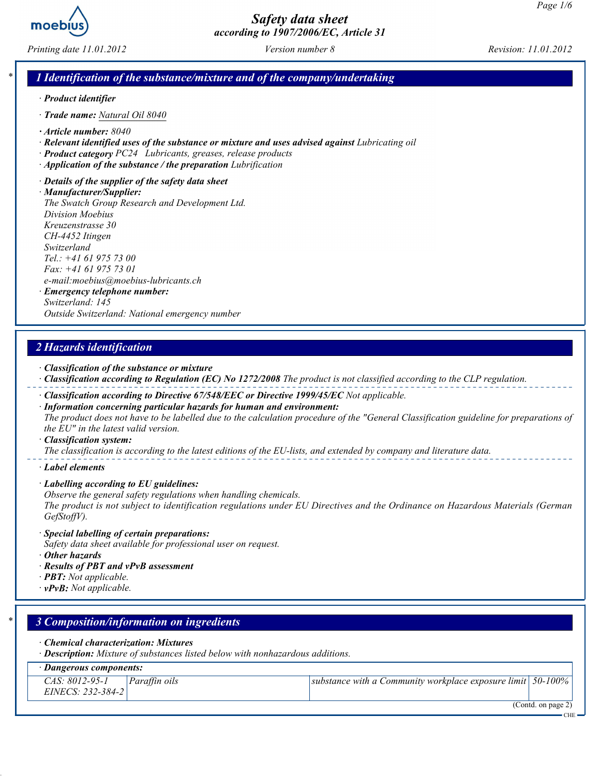

Printing date 11.01.2012 Version number 8 Revision: 11.01.2012

### 1 Identification of the substance/mixture and of the company/undertaking

- · Product identifier
- · Trade name: Natural Oil 8040
- · Article number: 8040
- · Relevant identified uses of the substance or mixture and uses advised against Lubricating oil
- · Product category PC24 Lubricants, greases, release products
- · Application of the substance / the preparation Lubrification
- · Details of the supplier of the safety data sheet

· Manufacturer/Supplier: The Swatch Group Research and Development Ltd. Division Moebius Kreuzenstrasse 30 CH-4452 Itingen Switzerland Tel.: +41 61 975 73 00 Fax: +41 61 975 73 01 e-mail:moebius@moebius-lubricants.ch · Emergency telephone number: Switzerland: 145

Outside Switzerland: National emergency number

### 2 Hazards identification

- · Classification of the substance or mixture
- · Classification according to Regulation (EC) No 1272/2008 The product is not classified according to the CLP regulation.
- · Classification according to Directive 67/548/EEC or Directive 1999/45/EC Not applicable.
- · Information concerning particular hazards for human and environment: The product does not have to be labelled due to the calculation procedure of the "General Classification guideline for preparations of the EU" in the latest valid version.

#### · Classification system:

The classification is according to the latest editions of the EU-lists, and extended by company and literature data.

· Label elements

- · Labelling according to EU guidelines:
- Observe the general safety regulations when handling chemicals.

The product is not subject to identification regulations under EU Directives and the Ordinance on Hazardous Materials (German GefStoffV).

- · Special labelling of certain preparations:
- Safety data sheet available for professional user on request.
- · Other hazards
- · Results of PBT and vPvB assessment
- $\cdot$  **PBT:** Not applicable.
- $\cdot$  vPvB: Not applicable.

| $\ast$ 1 | 3 Composition/information on ingredients                                                                                      |               |                                                                  |  |  |  |  |  |
|----------|-------------------------------------------------------------------------------------------------------------------------------|---------------|------------------------------------------------------------------|--|--|--|--|--|
|          | $\cdot$ Chemical characterization: Mixtures<br>· Description: Mixture of substances listed below with nonhazardous additions. |               |                                                                  |  |  |  |  |  |
|          | Dangerous components:                                                                                                         |               |                                                                  |  |  |  |  |  |
|          | CAS: 8012-95-1<br>EINECS: 232-384-2                                                                                           | Paraffin oils | substance with a Community workplace exposure limit $ 50-100\% $ |  |  |  |  |  |
|          |                                                                                                                               |               | (Contd. on page 2)<br><b>CHE</b>                                 |  |  |  |  |  |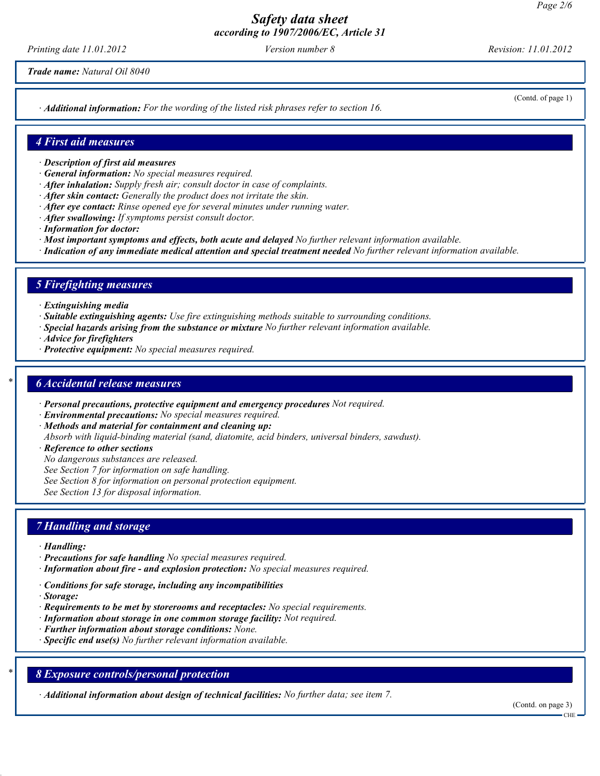Printing date 11.01.2012 Version number 8 Revision: 11.01.2012

Trade name: Natural Oil 8040

· Additional information: For the wording of the listed risk phrases refer to section 16.

(Contd. of page 1)

#### 4 First aid measures

- · Description of first aid measures
- · General information: No special measures required.
- · After inhalation: Supply fresh air; consult doctor in case of complaints.
- · After skin contact: Generally the product does not irritate the skin.
- $\cdot$  After eve contact: Rinse opened eve for several minutes under running water.
- · After swallowing: If symptoms persist consult doctor.
- · Information for doctor:
- · Most important symptoms and effects, both acute and delayed No further relevant information available.
- · Indication of any immediate medical attention and special treatment needed No further relevant information available.

#### 5 Firefighting measures

- · Extinguishing media
- · Suitable extinguishing agents: Use fire extinguishing methods suitable to surrounding conditions.
- · Special hazards arising from the substance or mixture No further relevant information available.
- · Advice for firefighters
- · Protective equipment: No special measures required.

#### **6 Accidental release measures**

- · Personal precautions, protective equipment and emergency procedures Not required.
- · Environmental precautions: No special measures required.
- · Methods and material for containment and cleaning up:
- Absorb with liquid-binding material (sand, diatomite, acid binders, universal binders, sawdust).
- · Reference to other sections
- No dangerous substances are released.
- See Section 7 for information on safe handling.
- See Section 8 for information on personal protection equipment.

See Section 13 for disposal information.

#### 7 Handling and storage

- · Handling:
- · Precautions for safe handling No special measures required.
- · Information about fire and explosion protection: No special measures required.
- · Conditions for safe storage, including any incompatibilities
- · Storage:
- $\cdot$  Requirements to be met by storerooms and receptacles: No special requirements.
- · Information about storage in one common storage facility: Not required.
- · Further information about storage conditions: None.
- $\cdot$  Specific end use(s) No further relevant information available.

### 8 Exposure controls/personal protection

· Additional information about design of technical facilities: No further data; see item 7.

(Contd. on page 3)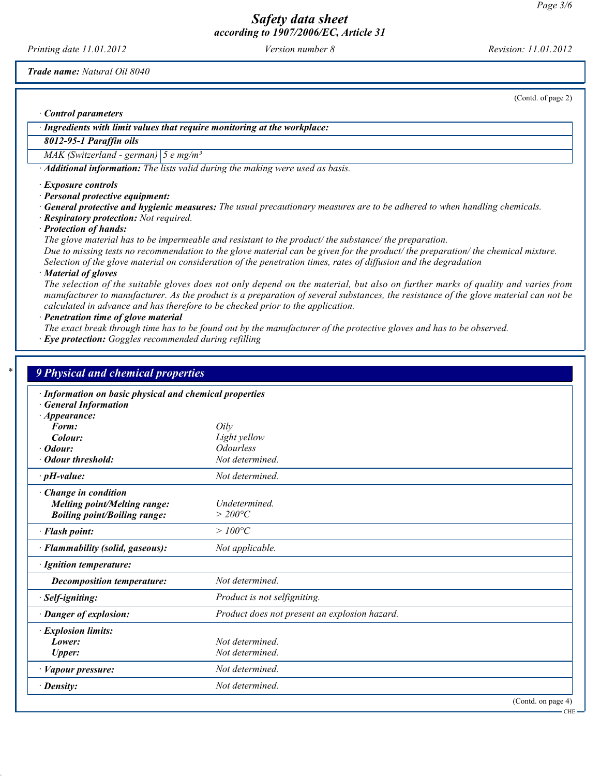Printing date 11.01.2012 Version number 8 Revision: 11.01.2012

Trade name: Natural Oil 8040

(Contd. of page 2)

CHE

· Control parameters

· Ingredients with limit values that require monitoring at the workplace:

# 8012-95-1 Paraffin oils

MAK (Switzerland - german)  $\left|5 \text{ e mg/m}^3\right|$ 

· Additional information: The lists valid during the making were used as basis.

· Exposure controls

· Personal protective equipment:

· General protective and hygienic measures: The usual precautionary measures are to be adhered to when handling chemicals.

· Respiratory protection: Not required.

· Protection of hands:

The glove material has to be impermeable and resistant to the product/ the substance/ the preparation. Due to missing tests no recommendation to the glove material can be given for the product/ the preparation/ the chemical mixture. Selection of the glove material on consideration of the penetration times, rates of diffusion and the degradation

· Material of gloves

The selection of the suitable gloves does not only depend on the material, but also on further marks of quality and varies from manufacturer to manufacturer. As the product is a preparation of several substances, the resistance of the glove material can not be calculated in advance and has therefore to be checked prior to the application.

· Penetration time of glove material

The exact break through time has to be found out by the manufacturer of the protective gloves and has to be observed.

· Eye protection: Goggles recommended during refilling

| · Information on basic physical and chemical properties |                                               |  |  |  |
|---------------------------------------------------------|-----------------------------------------------|--|--|--|
| <b>General Information</b><br>$\cdot$ Appearance:       |                                               |  |  |  |
| Form:                                                   | Oily                                          |  |  |  |
| Colour:                                                 | Light yellow                                  |  |  |  |
| · Odour:                                                | <b>Odourless</b>                              |  |  |  |
| Odour threshold:                                        | Not determined.                               |  |  |  |
| $\cdot$ pH-value:                                       | Not determined.                               |  |  |  |
| Change in condition                                     |                                               |  |  |  |
| <b>Melting point/Melting range:</b>                     | Undetermined.                                 |  |  |  |
| <b>Boiling point/Boiling range:</b>                     | $>$ 200°C                                     |  |  |  |
| · Flash point:                                          | $>100^{\circ}C$                               |  |  |  |
| · Flammability (solid, gaseous):                        | Not applicable.                               |  |  |  |
| · Ignition temperature:                                 |                                               |  |  |  |
| <b>Decomposition temperature:</b>                       | Not determined.                               |  |  |  |
| · Self-igniting:                                        | Product is not selfigniting.                  |  |  |  |
| · Danger of explosion:                                  | Product does not present an explosion hazard. |  |  |  |
| · Explosion limits:                                     |                                               |  |  |  |
| Lower:                                                  | Not determined                                |  |  |  |
| <b>Upper:</b>                                           | Not determined.                               |  |  |  |
| · Vapour pressure:                                      | Not determined.                               |  |  |  |
| $\cdot$ Density:                                        | Not determined.                               |  |  |  |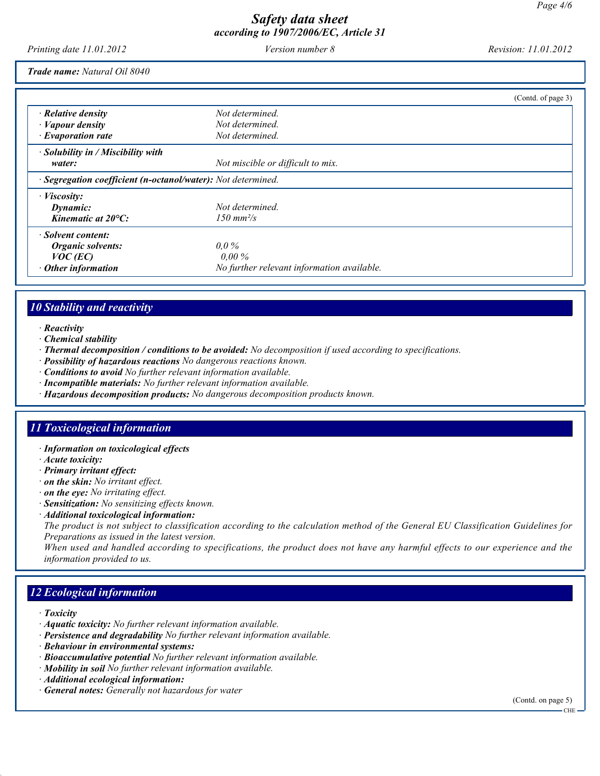Printing date 11.01.2012 Version number 8 Revision: 11.01.2012

Trade name: Natural Oil 8040

|                                                              |                                            | (Contd. of page 3) |
|--------------------------------------------------------------|--------------------------------------------|--------------------|
| $\cdot$ Relative density                                     | Not determined.                            |                    |
| $\cdot$ <i>Vapour density</i>                                | Not determined.                            |                    |
| $\cdot$ Evaporation rate                                     | Not determined.                            |                    |
| $\cdot$ Solubility in / Miscibility with                     |                                            |                    |
| water:                                                       | Not miscible or difficult to mix.          |                    |
| · Segregation coefficient (n-octanol/water): Not determined. |                                            |                    |
| $\cdot$ <i>Viscosity:</i>                                    |                                            |                    |
| Dynamic:                                                     | Not determined.                            |                    |
| Kinematic at $20^{\circ}$ C:                                 | $150 \text{ mm}^2/\text{s}$                |                    |
| · Solvent content:                                           |                                            |                    |
| Organic solvents:                                            | $0.0\%$                                    |                    |
| $VOC$ (EC)                                                   | $0.00\%$                                   |                    |
| $\cdot$ Other information                                    | No further relevant information available. |                    |

## 10 Stability and reactivity

- · Reactivity
- · Chemical stability
- · Thermal decomposition / conditions to be avoided: No decomposition if used according to specifications.
- · Possibility of hazardous reactions No dangerous reactions known.
- · Conditions to avoid No further relevant information available.
- · Incompatible materials: No further relevant information available.
- · Hazardous decomposition products: No dangerous decomposition products known.

#### 11 Toxicological information

- · Information on toxicological effects
- · Acute toxicity:
- · Primary irritant effect:
- · on the skin: No irritant effect.
- · on the eye: No irritating effect.
- · Sensitization: No sensitizing effects known.
- · Additional toxicological information:

The product is not subject to classification according to the calculation method of the General EU Classification Guidelines for Preparations as issued in the latest version.

When used and handled according to specifications, the product does not have any harmful effects to our experience and the information provided to us.

# 12 Ecological information

- · Toxicity
- · Aquatic toxicity: No further relevant information available.
- · Persistence and degradability No further relevant information available.
- · Behaviour in environmental systems:
- · Bioaccumulative potential No further relevant information available.
- · Mobility in soil No further relevant information available.
- · Additional ecological information:
- · General notes: Generally not hazardous for water

(Contd. on page 5)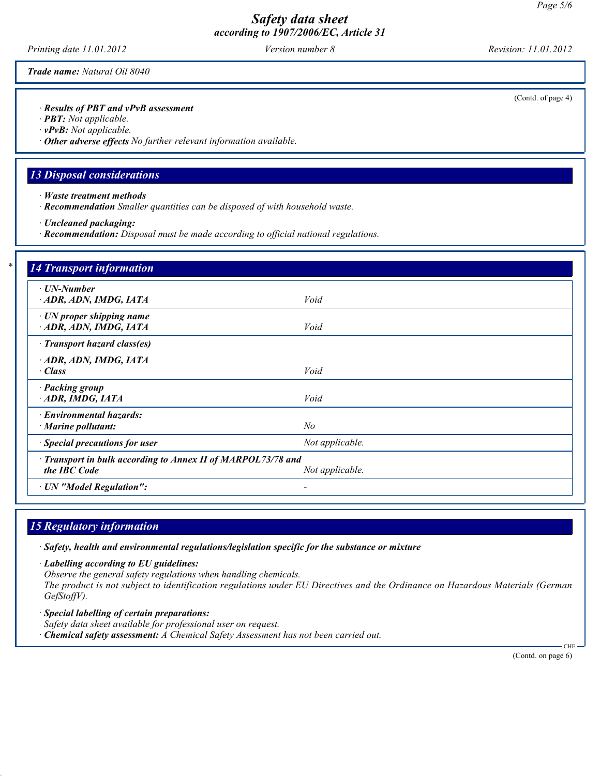Printing date 11.01.2012 Version number 8 Revision: 11.01.2012

Trade name: Natural Oil 8040

· Results of PBT and vPvB assessment

· PBT: Not applicable.

· vPvB: Not applicable.

· Other adverse effects No further relevant information available.

### 13 Disposal considerations

· Waste treatment methods

· Recommendation Smaller quantities can be disposed of with household waste.

· Uncleaned packaging:

· Recommendation: Disposal must be made according to official national regulations.

| $\cdot$ UN-Number                                                            |                 |  |
|------------------------------------------------------------------------------|-----------------|--|
| ADR, ADN, IMDG, IATA                                                         | Void            |  |
| $\cdot$ UN proper shipping name<br>ADR, ADN, IMDG, IATA                      | Void            |  |
| · Transport hazard class(es)                                                 |                 |  |
| ADR, ADN, IMDG, IATA<br>$\cdot$ Class                                        | Void            |  |
| · Packing group<br>ADR, IMDG, IATA                                           | Void            |  |
| · Environmental hazards:<br>$\cdot$ Marine pollutant:                        | No              |  |
| · Special precautions for user                                               | Not applicable. |  |
| · Transport in bulk according to Annex II of MARPOL73/78 and<br>the IBC Code | Not applicable. |  |

## 15 Regulatory information

· Safety, health and environmental regulations/legislation specific for the substance or mixture

· Labelling according to EU guidelines:

Observe the general safety regulations when handling chemicals.

The product is not subject to identification regulations under EU Directives and the Ordinance on Hazardous Materials (German GefStoffV).

· Special labelling of certain preparations: Safety data sheet available for professional user on request.

 $\cdot$  Chemical safety assessment: A Chemical Safety Assessment has not been carried out.

(Contd. on page 6)

 $CHI$ 

(Contd. of page 4)